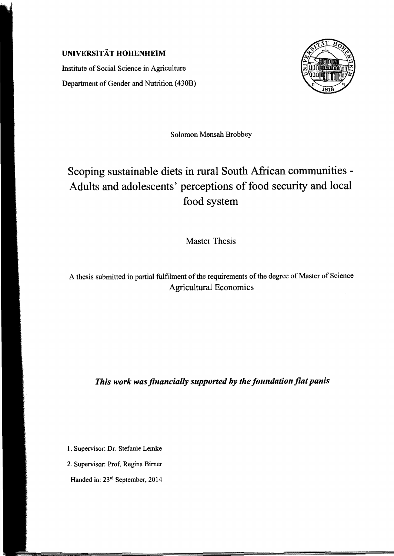## UNIVERSITÄT HOHENHEIM

Institute of Social Science in Agriculture Department of Gender and Nutrition (430B)



Solomon Mensah Brobbey

## Scoping sustainable diets in rural South African communities - Adults and adolescents' perceptions of food security and local food system

Master Thesis

A thesis submitted in partial fulfilment of the requirements of the degree of Master of Science Agricultural Economies

*This work was financially supported by the foundation fiat panis* 

1. Supervisor: Dr. Stefanie Lemke

2. Supervisor: Prof. Regina Bimer

Handed in: 23<sup>rd</sup> September, 2014